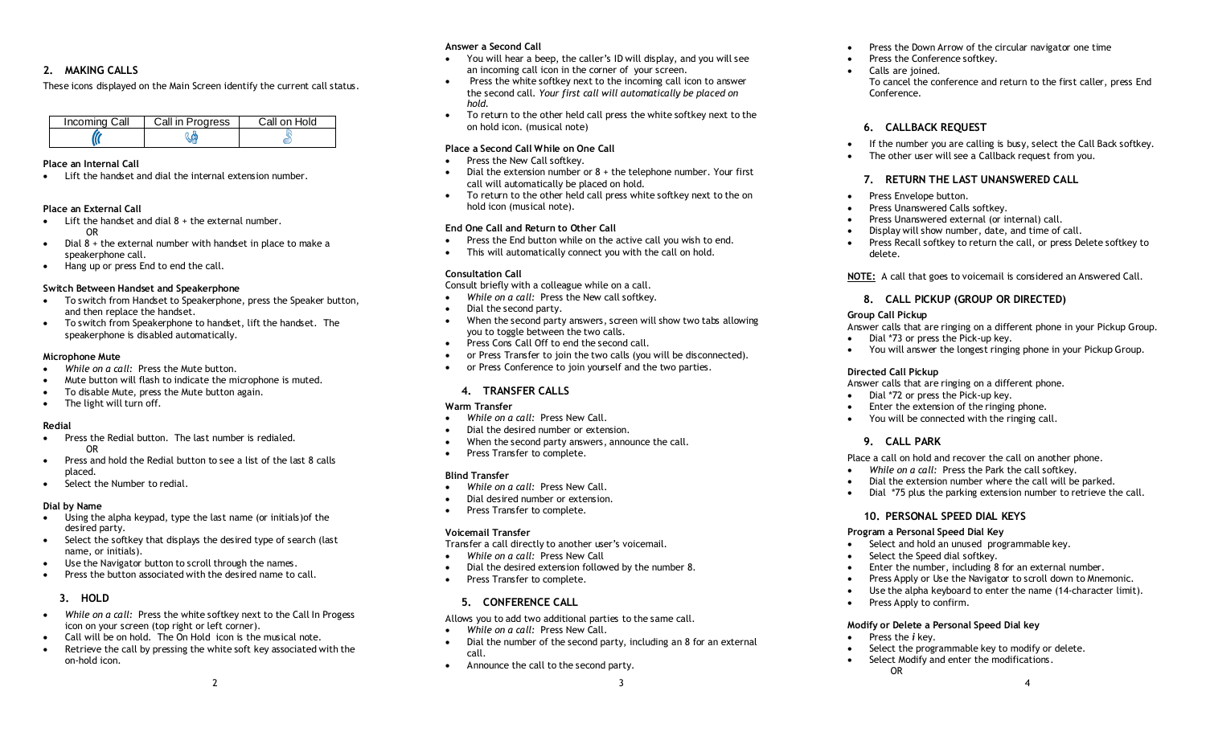# **2. MAKING CALLS**

These icons displayed on the Main Screen identify the current call status.

| Incoming Call | Call in Progress | Call on Hold |
|---------------|------------------|--------------|
|               |                  |              |

#### **Place an Internal Call**

Lift the handset and dial the internal extension number.

### **Place an External Call**

- $\bullet$  Lift the handset and dial  $8 +$  the external number. OR
- $\bullet$  Dial 8 + the external number with handset in place to make a speakerphone call.
- Hang up or press End to end the call.

### **Switch Between Handset and Speakerphone**

- To switch from Handset to Speakerphone, press the Speaker button, and then replace the handset.
- To switch from Speakerphone to handset, lift the handset. The speakerphone is disabled automatically.

#### **Microphone Mute**

- *While on a call:* Press the Mute button.
- Mute button will flash to indicate the microphone is muted.
- To disable Mute, press the Mute button again.
- The light will turn off.

## **Redial**

- Press the Redial button. The last number is redialed. OR
- Press and hold the Redial button to see a list of the last 8 calls placed.
- Select the Number to redial.

#### **Dial by Name**

- Using the alpha keypad, type the last name (or initials)of the desired party.
- Select the softkey that displays the desired type of search (last name, or initials).
- Use the Navigator button to scroll through the names.
- Press the button associated with the desired name to call.

# **3. HOLD**

- *While on a call:* Press the white softkey next to the Call In Progess icon on your screen (top right or left corner).
- Call will be on hold. The On Hold icon is the musical note.
- Retrieve the call by pressing the white soft key associated with the on-hold icon.

## **Answer a Second Call**

- You will hear a beep, the caller's ID will display, and you will see an incoming call icon in the corner of your screen.
- Press the white softkey next to the incoming call icon to answer the second call*. Your first call will automatically be placed on hold.*
- To return to the other held call press the white softkey next to the on hold icon. (musical note)

## **Place a Second Call While on One Call**

- Press the New Call softkey.
- $\bullet$  Dial the extension number or  $8 +$  the telephone number. Your first call will automatically be placed on hold.
- To return to the other held call press white softkey next to the on hold icon (musical note).

## **End One Call and Return to Other Call**

- Press the End button while on the active call you wish to end.
- This will automatically connect you with the call on hold.

## **Consultation Call**

Consult briefly with a colleague while on a call.

- *While on a call:* Press the New call softkey.
- Dial the second party.
- When the second party answers, screen will show two tabs allowing you to toggle between the two calls.
- Press Cons Call Off to end the second call.
- or Press Transfer to join the two calls (you will be disconnected).
- or Press Conference to join yourself and the two parties.

## **4. TRANSFER CALLS**

## **Warm Transfer**

- *While on a call:* Press New Call.
- Dial the desired number or extension.
- When the second party answers, announce the call.
- Press Transfer to complete.

## **Blind Transfer**

- *While on a call:* Press New Call.
- Dial desired number or extension.
- Press Transfer to complete.

## **Voicemail Transfer**

Transfer a call directly to another user's voicemail.

- *While on a call:* Press New Call
- Dial the desired extension followed by the number 8.
- Press Transfer to complete.

# **5. CONFERENCE CALL**

Allows you to add two additional parties to the same call.

- *While on a call:* Press New Call.
- Dial the number of the second party, including an 8 for an external call.
- $\frac{2}{3}$  and  $\frac{3}{4}$ Announce the call to the second party.
- Press the Down Arrow of the circular navigator one time
- Press the Conference softkey.

Calls are joined. To cancel the conference and return to the first caller, press End Conference.

# **6. CALLBACK REQUEST**

- If the number you are calling is busy, select the Call Back softkey.
- The other user will see a Callback request from you.

## **7. RETURN THE LAST UNANSWERED CALL**

- Press Envelope button.
- Press Unanswered Calls softkey.
- Press Unanswered external (or internal) call.
- Display will show number, date, and time of call.
- Press Recall softkey to return the call, or press Delete softkey to delete.

**NOTE:** A call that goes to voicemail is considered an Answered Call.

# **8. CALL PICKUP (GROUP OR DIRECTED)**

### **Group Call Pickup**

Answer calls that are ringing on a different phone in your Pickup Group.

- Dial \*73 or press the Pick-up key.
- You will answer the longest ringing phone in your Pickup Group.

## **Directed Call Pickup**

Answer calls that are ringing on a different phone.

- Dial \*72 or press the Pick-up key.
- Enter the extension of the ringing phone.
- You will be connected with the ringing call.

# **9. CALL PARK**

Place a call on hold and recover the call on another phone.

- *While on a call:* Press the Park the call softkey.
- Dial the extension number where the call will be parked.
- Dial \*75 plus the parking extension number to retrieve the call.

 Enter the number, including 8 for an external number. • Press Apply or Use the Navigator to scroll down to Mnemonic. Use the alpha keyboard to enter the name (14-character limit).

Select the programmable key to modify or delete.

## **10. PERSONAL SPEED DIAL KEYS**

**Modify or Delete a Personal Speed Dial key**

• Select Modify and enter the modifications.

#### **Program a Personal Speed Dial Key**

Press Apply to confirm.

Press the *i* key.

OR

• Select and hold an unused programmable key. Select the Speed dial softkey.